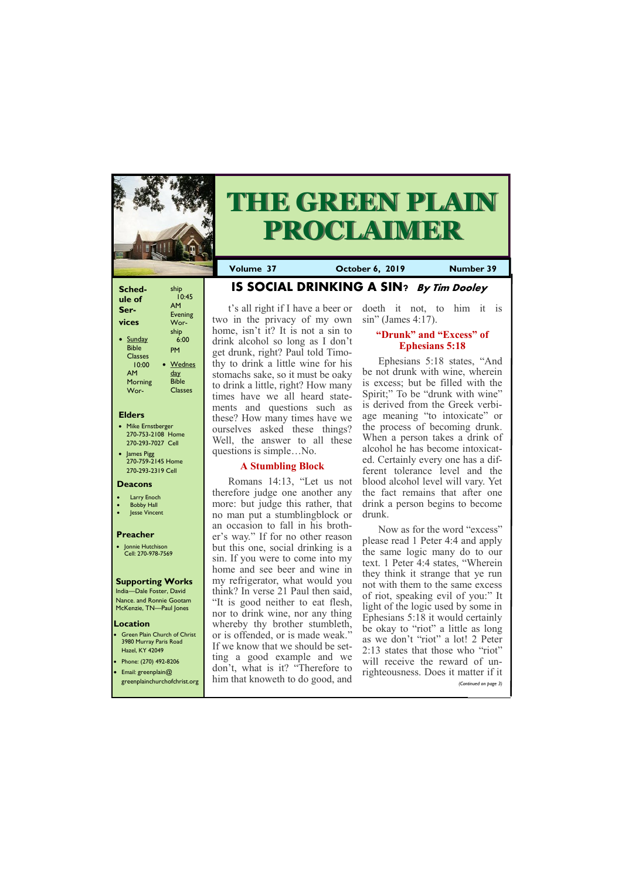| Sched-<br>ule of<br>Ser- | ship<br>10:45<br>AM<br><b>Evening</b> |
|--------------------------|---------------------------------------|
| vices                    | Wor-                                  |
| Sunday                   | ship                                  |
| <b>Bible</b>             | 6:00                                  |
| <b>Classes</b>           | PM                                    |
| 10:00                    | Wednes                                |
| AМ                       | <u>day</u>                            |
| Morning                  | <b>Bible</b>                          |
| Wor-                     | <b>Classes</b>                        |

#### **Elders**

**Green Plain Church of Christ** 3980 Murray Paris Road Hazel, KY 42049 • Phone: (270) 492-8206

- Mike Ernstberger 270-753-2108 Home 270-293-7027 Cell
- James Pigg 270-759-2145 Home 270-293-2319 Cell

#### **Location**



# **THE GREEN PLAIN PROCLAIMER**

**Volume 37 October 6, 2019 Number 39**

#### **Deacons**

- **Larry Enoch**
- **Bobby Hall**
- Jesse Vincent

#### **Preacher**

• Jonnie Hutchison Cell: 270-978-7569

#### **Supporting Works**

India—Dale Foster, David Nance. and Ronnie Gootam McKenzie, TN—Paul Jones

**IS SOCIAL DRINKING A SIN? By Tim Dooley**

t's all right if I have a beer or two in the privacy of my own home, isn't it? It is not a sin to drink alcohol so long as I don't get drunk, right? Paul told Timothy to drink a little wine for his stomachs sake, so it must be oaky to drink a little, right? How many times have we all heard statements and questions such as these? How many times have we ourselves asked these things? Well, the answer to all these questions is simple…No.

#### **A Stumbling Block**

Romans 14:13, "Let us not therefore judge one another any more: but judge this rather, that no man put a stumblingblock or an occasion to fall in his brother's way." If for no other reason but this one, social drinking is a sin. If you were to come into my home and see beer and wine in my refrigerator, what would you think? In verse 21 Paul then said, "It is good neither to eat flesh, nor to drink wine, nor any thing whereby thy brother stumbleth, or is offended, or is made weak." If we know that we should be setting a good example and we

| • Email: greenplain $@$<br>greenplainchurchofchrist.org | don't, what is it? "Therefore to<br>him that knoweth to do good, and | will receive the reward of all<br><i>i</i> righteousness. Does it matter if it<br>(Continued on page 3) |
|---------------------------------------------------------|----------------------------------------------------------------------|---------------------------------------------------------------------------------------------------------|
|                                                         |                                                                      |                                                                                                         |

doeth it not, to him it is sin" (James 4:17).

#### **"Drunk" and "Excess" of Ephesians 5:18**

Ephesians 5:18 states, "And be not drunk with wine, wherein is excess; but be filled with the Spirit;" To be "drunk with wine" is derived from the Greek verbiage meaning "to intoxicate" or the process of becoming drunk. When a person takes a drink of alcohol he has become intoxicated. Certainly every one has a different tolerance level and the blood alcohol level will vary. Yet the fact remains that after one drink a person begins to become drunk.

Now as for the word "excess" please read 1 Peter 4:4 and apply the same logic many do to our text. 1 Peter 4:4 states, "Wherein they think it strange that ye run not with them to the same excess of riot, speaking evil of you:" It light of the logic used by some in Ephesians 5:18 it would certainly be okay to "riot" a little as long as we don't "riot" a lot! 2 Peter 2:13 states that those who "riot" will receive the reward of un-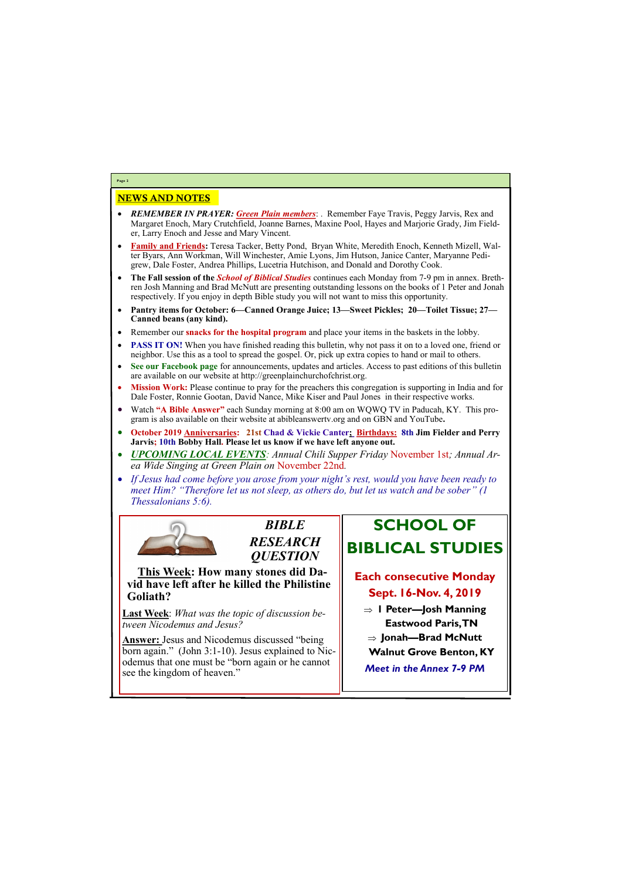## NEWS AND NOTES

- *REMEMBER IN PRAYER: Green Plain members*: . Remember Faye Travis, Peggy Jarvis, Rex and Margaret Enoch, Mary Crutchfield, Joanne Barnes, Maxine Pool, Hayes and Marjorie Grady, Jim Fielder, Larry Enoch and Jesse and Mary Vincent.
- **Family and Friends:** Teresa Tacker, Betty Pond, Bryan White, Meredith Enoch, Kenneth Mizell, Walter Byars, Ann Workman, Will Winchester, Amie Lyons, Jim Hutson, Janice Canter, Maryanne Pedigrew, Dale Foster, Andrea Phillips, Lucetria Hutchison, and Donald and Dorothy Cook.
- **The Fall session of the** *School of Biblical Studies* continues each Monday from 7-9 pm in annex. Brethren Josh Manning and Brad McNutt are presenting outstanding lessons on the books of 1 Peter and Jonah respectively. If you enjoy in depth Bible study you will not want to miss this opportunity.
- **Pantry items for October: 6—Canned Orange Juice; 13—Sweet Pickles; 20—Toilet Tissue; 27— Canned beans (any kind).**
- Remember our **snacks for the hospital program** and place your items in the baskets in the lobby.
- **PASS IT ON!** When you have finished reading this bulletin, why not pass it on to a loved one, friend or neighbor. Use this as a tool to spread the gospel. Or, pick up extra copies to hand or mail to others.
- **See our Facebook page** for announcements, updates and articles. Access to past editions of this bulletin are available on our website at http://greenplainchurchofchrist.org.
- **Mission Work:** Please continue to pray for the preachers this congregation is supporting in India and for Dale Foster, Ronnie Gootan, David Nance, Mike Kiser and Paul Jones in their respective works.
- Watch **"A Bible Answer"** each Sunday morning at 8:00 am on WQWQ TV in Paducah, KY. This program is also available on their website at abibleanswertv.org and on GBN and YouTube**.**
- **October 2019 Anniversaries: 21st Chad & Vickie Canter; Birthdays: 8th Jim Fielder and Perry Jarvis; 10th Bobby Hall. Please let us know if we have left anyone out.**
- *UPCOMING LOCAL EVENTS: Annual Chili Supper Friday* November 1st*; Annual Area Wide Singing at Green Plain on* November 22nd*.*
- *If Jesus had come before you arose from your night's rest, would you have been ready to meet Him? "Therefore let us not sleep, as others do, but let us watch and be sober" (1 Thessalonians 5:6).*



**Page 2**



**This Week: How many stones did David have left after he killed the Philistine Goliath?** 

**Last Week**: *What was the topic of discussion between Nicodemus and Jesus?*

**Answer:** Jesus and Nicodemus discussed "being born again." (John 3:1-10). Jesus explained to Nicodemus that one must be "born again or he cannot

| <b>CWAILIWS WING CITA ILIWS CAPE COTTLE WEWELL OF THE AMELIAU OF</b><br>see the kingdom of heaven." | <b>Meet in the Annex 7</b> |
|-----------------------------------------------------------------------------------------------------|----------------------------|
|                                                                                                     |                            |

# **SCHOOL OF BIBLICAL STUDIES**

# **Each consecutive Monday Sept. 16-Nov. 4, 2019**

- **1 Peter—Josh Manning Eastwood Paris, TN**
- **Jonah—Brad McNutt**
- **Walnut Grove Benton, KY**
- *Meet in the Annex 7-9 PM*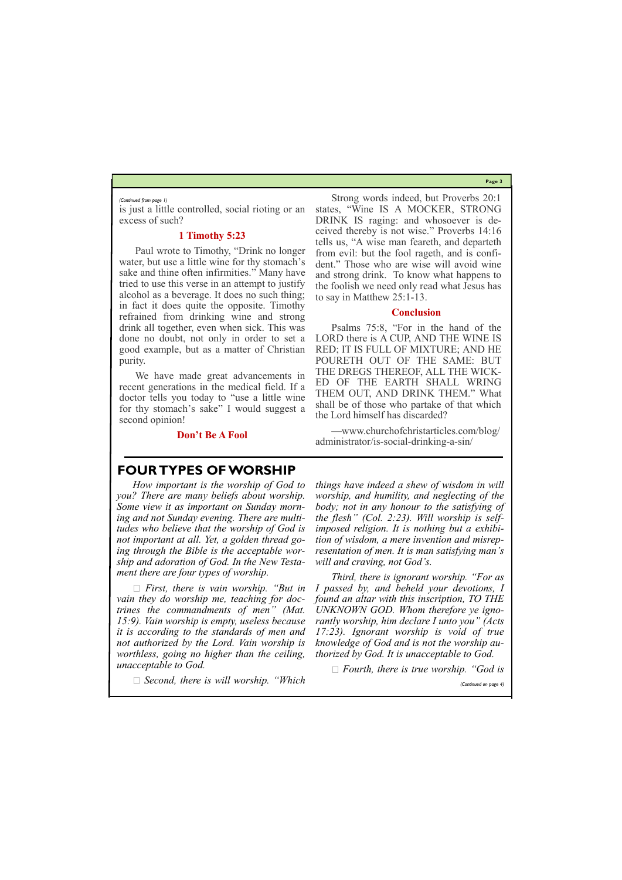**Page 3**

is just a little controlled, social rioting or an excess of such?

#### **1 Timothy 5:23**

Paul wrote to Timothy, "Drink no longer water, but use a little wine for thy stomach's sake and thine often infirmities." Many have tried to use this verse in an attempt to justify alcohol as a beverage. It does no such thing; in fact it does quite the opposite. Timothy refrained from drinking wine and strong drink all together, even when sick. This was done no doubt, not only in order to set a good example, but as a matter of Christian purity.

We have made great advancements in recent generations in the medical field. If a doctor tells you today to "use a little wine for thy stomach's sake" I would suggest a second opinion!

**Don't Be A Fool**

Strong words indeed, but Proverbs 20:1 states, "Wine IS A MOCKER, STRONG DRINK IS raging: and whosoever is deceived thereby is not wise." Proverbs 14:16 tells us, "A wise man feareth, and departeth from evil: but the fool rageth, and is confident." Those who are wise will avoid wine and strong drink. To know what happens to the foolish we need only read what Jesus has to say in Matthew 25:1-13.

#### **Conclusion**

Psalms 75:8, "For in the hand of the LORD there is A CUP, AND THE WINE IS RED; IT IS FULL OF MIXTURE; AND HE POURETH OUT OF THE SAME: BUT THE DREGS THEREOF, ALL THE WICK-ED OF THE EARTH SHALL WRING THEM OUT, AND DRINK THEM." What shall be of those who partake of that which the Lord himself has discarded?

—www.churchofchristarticles.com/blog/ administrator/is-social-drinking-a-sin/

*(Continued from page 1)*

### **FOUR TYPES OF WORSHIP**

*How important is the worship of God to you? There are many beliefs about worship. Some view it as important on Sunday morning and not Sunday evening. There are multitudes who believe that the worship of God is not important at all. Yet, a golden thread going through the Bible is the acceptable worship and adoration of God. In the New Testament there are four types of worship.*

*First, there is vain worship. "But in vain they do worship me, teaching for doctrines the commandments of men" (Mat. 15:9). Vain worship is empty, useless because it is according to the standards of men and not authorized by the Lord. Vain worship is worthless, going no higher than the ceiling,* 

*Second, there is will worship. "Which* 

*things have indeed a shew of wisdom in will worship, and humility, and neglecting of the body; not in any honour to the satisfying of the flesh" (Col. 2:23). Will worship is selfimposed religion. It is nothing but a exhibition of wisdom, a mere invention and misrepresentation of men. It is man satisfying man's will and craving, not God's.*

*unacceptable to God. Fourth, there is true worship. "God is* 

*Third, there is ignorant worship. "For as I passed by, and beheld your devotions, I found an altar with this inscription, TO THE UNKNOWN GOD. Whom therefore ye ignorantly worship, him declare I unto you" (Acts 17:23). Ignorant worship is void of true knowledge of God and is not the worship authorized by God. It is unacceptable to God.*

*(Continued on page 4)*